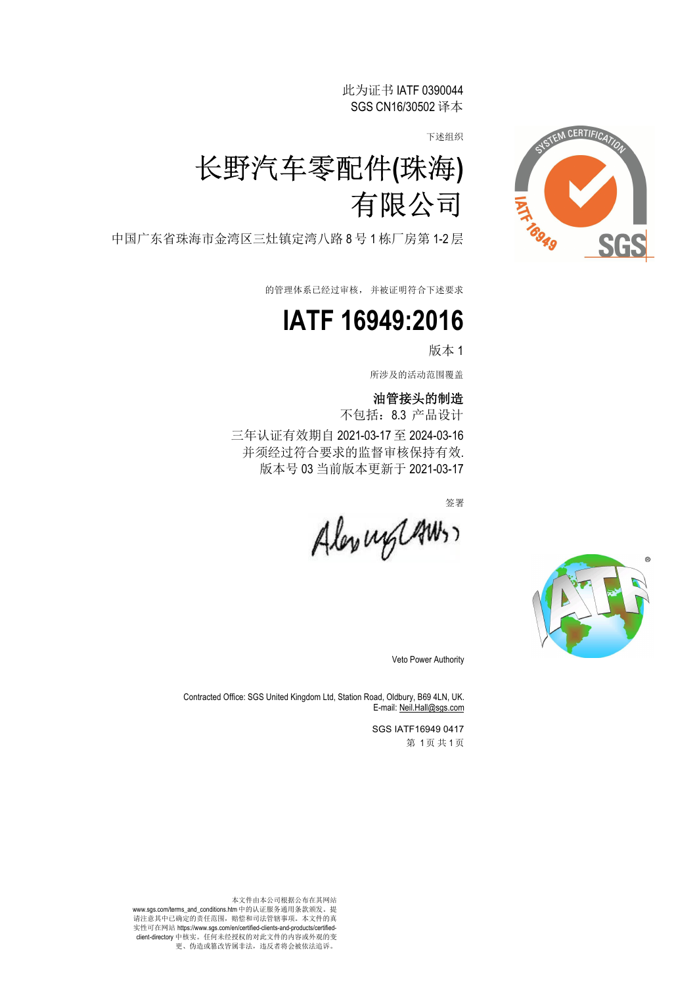此为证书 IATF 0390044 SGS CN16/30502 译本

下述组织



中国广东省珠海市金湾区三灶镇定湾八路 8 号 1 栋厂房第 1-2 层

的管理体系已经过审核, 并被证明符合下述要求

## **IATF 16949:2016**

版本 1

所涉及的活动范围覆盖

### 油管接头的制造

不包括:8.3 产品设计 三年认证有效期自 2021-03-17 至 2024-03-16 并须经过符合要求的监督审核保持有效. 版本号 03 当前版本更新于 2021-03-17

签署

Alexanglaws,



Veto Power Authority

Contracted Office: SGS United Kingdom Ltd, Station Road, Oldbury, B69 4LN, UK. E-mail: Neil.Hall@sgs.com

> SGS IATF16949 0417 第 1页共1页